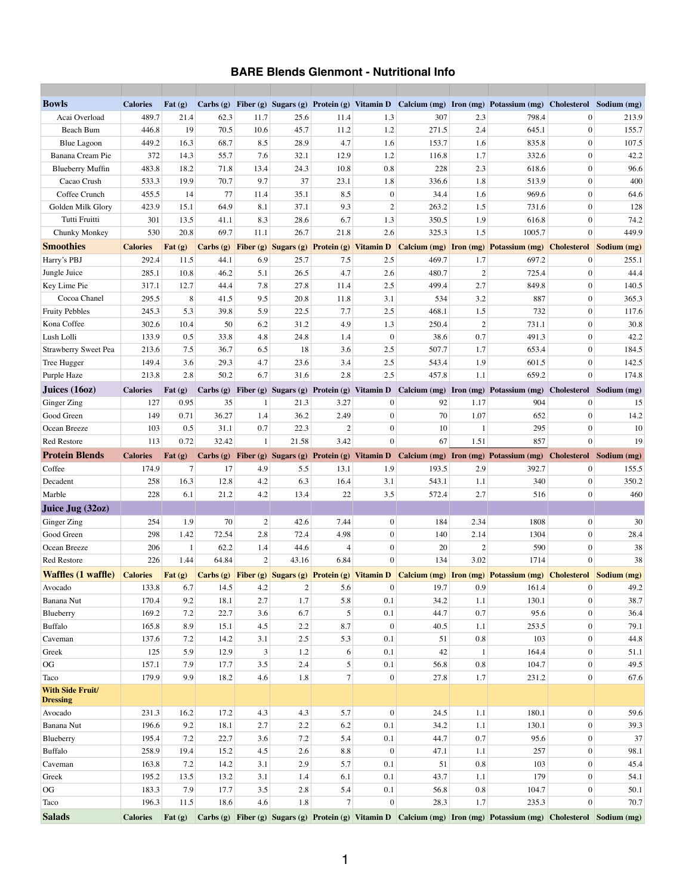## **BARE Blends Glenmont - Nutritional Info**

| <b>Bowls</b>                | <b>Calories</b>          | Fat $(g)$                                                 |          |      |       |                | Carbs (g) Fiber (g) Sugars (g) Protein (g) Vitamin D |                               |                | Calcium (mg) Iron (mg) Potassium (mg)                                                                                       | Cholesterol    | Sodium (mg)             |
|-----------------------------|--------------------------|-----------------------------------------------------------|----------|------|-------|----------------|------------------------------------------------------|-------------------------------|----------------|-----------------------------------------------------------------------------------------------------------------------------|----------------|-------------------------|
| Acai Overload               | 489.7                    | 21.4                                                      | 62.3     | 11.7 | 25.6  | 11.4           | 1.3                                                  | 307                           | 2.3            | 798.4                                                                                                                       | $\overline{0}$ | 213.9                   |
| <b>Beach Bum</b>            | 446.8                    | 19                                                        | 70.5     | 10.6 | 45.7  | 11.2           | 1.2                                                  | 271.5                         | 2.4            | 645.1                                                                                                                       | $\overline{0}$ | 155.7                   |
| <b>Blue Lagoon</b>          | 449.2                    | 16.3                                                      | 68.7     | 8.5  | 28.9  | 4.7            | 1.6                                                  | 153.7                         | 1.6            | 835.8                                                                                                                       | $\overline{0}$ | 107.5                   |
| <b>Banana Cream Pie</b>     | 372                      | 14.3                                                      | 55.7     | 7.6  | 32.1  | 12.9           | 1.2                                                  | 116.8                         | 1.7            | 332.6                                                                                                                       | $\overline{0}$ | 42.2                    |
| <b>Blueberry Muffin</b>     | 483.8                    | 18.2                                                      | 71.8     | 13.4 | 24.3  | 10.8           | 0.8                                                  | 228                           | 2.3            | 618.6                                                                                                                       | $\overline{0}$ | 96.6                    |
| Cacao Crush                 | 533.3                    | 19.9                                                      | 70.7     | 9.7  | 37    | 23.1           | 1.8                                                  | 336.6                         | 1.8            | 513.9                                                                                                                       | $\overline{0}$ | 400                     |
| Coffee Crunch               | 455.5                    | 14                                                        | 77       | 11.4 | 35.1  | 8.5            | $\overline{0}$                                       | 34.4                          | 1.6            | 969.6                                                                                                                       | $\overline{0}$ | 64.6                    |
| Golden Milk Glory           | 423.9                    | 15.1                                                      | 64.9     | 8.1  | 37.1  | 9.3            | $\overline{2}$                                       | 263.2                         | 1.5            | 731.6                                                                                                                       | $\overline{0}$ | 128                     |
| Tutti Fruitti               | 301                      | 13.5                                                      | 41.1     | 8.3  | 28.6  | 6.7            | 1.3                                                  | 350.5                         | 1.9            | 616.8                                                                                                                       | $\overline{0}$ | 74.2                    |
| Chunky Monkey               | 530                      | 20.8                                                      | 69.7     | 11.1 | 26.7  | 21.8           | 2.6                                                  | 325.3                         | 1.5            | 1005.7                                                                                                                      | $\overline{0}$ | 449.9                   |
| <b>Smoothies</b>            | <b>Calories</b>          | Fat $(g)$                                                 |          |      |       |                | Carbs (g) Fiber (g) Sugars (g) Protein (g) Vitamin D | <b>Calcium (mg) Iron (mg)</b> |                | <b>Potassium (mg) Cholesterol</b>                                                                                           |                | Sodium (mg)             |
| Harry's PBJ                 | 292.4                    | 11.5                                                      | 44.1     | 6.9  | 25.7  | 7.5            | 2.5                                                  | 469.7                         | 1.7            | 697.2                                                                                                                       | $\overline{0}$ | 255.1                   |
| Jungle Juice                | 285.1                    | 10.8                                                      | 46.2     | 5.1  | 26.5  | 4.7            | 2.6                                                  | 480.7                         | $\overline{2}$ | 725.4                                                                                                                       | $\overline{0}$ | 44.4                    |
| Key Lime Pie                | 317.1                    | 12.7                                                      | 44.4     | 7.8  | 27.8  | 11.4           | 2.5                                                  | 499.4                         | 2.7            | 849.8                                                                                                                       | $\overline{0}$ | 140.5                   |
| Cocoa Chanel                | 295.5                    | 8                                                         | 41.5     | 9.5  | 20.8  | 11.8           | 3.1                                                  | 534                           | 3.2            | 887                                                                                                                         | $\mathbf{0}$   | 365.3                   |
| <b>Fruity Pebbles</b>       | 245.3                    | 5.3                                                       | 39.8     | 5.9  | 22.5  | 7.7            | 2.5                                                  | 468.1                         | 1.5            | 732                                                                                                                         | $\overline{0}$ | 117.6                   |
| Kona Coffee                 | 302.6                    | 10.4                                                      | 50       | 6.2  | 31.2  | 4.9            | 1.3                                                  | 250.4                         | $\overline{2}$ | 731.1                                                                                                                       | $\overline{0}$ | 30.8                    |
| Lush Lolli                  | 133.9                    | 0.5                                                       | 33.8     | 4.8  | 24.8  | 1.4            | $\mathbf{0}$                                         | 38.6                          | 0.7            | 491.3                                                                                                                       | $\overline{0}$ | 42.2                    |
| <b>Strawberry Sweet Pea</b> | 213.6                    | 7.5                                                       | 36.7     | 6.5  | 18    | 3.6            | 2.5                                                  | 507.7                         | 1.7            | 653.4                                                                                                                       | $\overline{0}$ | 184.5                   |
| Tree Hugger                 | 149.4                    | 3.6                                                       | 29.3     | 4.7  | 23.6  | 3.4            | 2.5                                                  | 543.4                         | 1.9            | 601.5                                                                                                                       | $\overline{0}$ | 142.5                   |
| Purple Haze                 | 213.8                    | 2.8                                                       | 50.2     | 6.7  | 31.6  | 2.8            | 2.5                                                  | 457.8                         | 1.1            | 659.2                                                                                                                       |                | 174.8                   |
| Juices $(160z)$             | <b>Calories</b>          | Fat $(g)$                                                 |          |      |       |                | Carbs (g) Fiber (g) Sugars (g) Protein (g) Vitamin D |                               |                | Calcium (mg) Iron (mg) Potassium (mg) Cholesterol Sodium (mg)                                                               |                |                         |
| Ginger Zing                 | 127                      | 0.95                                                      | 35       |      | 21.3  | 3.27           | $\overline{0}$                                       | 92                            | 1.17           | 904                                                                                                                         | $\overline{0}$ | 15                      |
| Good Green                  | 149                      | 0.71                                                      | 36.27    | 1.4  | 36.2  | 2.49           | $\Omega$                                             | 70                            | 1.07           | 652                                                                                                                         |                | 14.2                    |
| Ocean Breeze                | 103                      | 0.5                                                       | 31.1     | 0.7  | 22.3  | $\overline{2}$ | $\overline{0}$                                       | 10                            |                | 295                                                                                                                         | $\overline{0}$ | 10                      |
| <b>Red Restore</b>          | 113                      | 0.72                                                      | 32.42    |      | 21.58 | 3.42           | $\overline{0}$                                       | 67                            | 1.51           | 857                                                                                                                         | $\overline{0}$ | 19                      |
| <b>Protein Blends</b>       | <b>Calories</b>          | Fat $(g)$                                                 | Carbs(g) |      |       |                | Fiber (g) Sugars (g) Protein (g) Vitamin D           |                               |                | Calcium (mg) Iron (mg) Potassium (mg)                                                                                       |                | Cholesterol Sodium (mg) |
| Coffee                      | 174.9                    |                                                           | 17       | 4.9  | 5.5   | 13.1           | 1.9                                                  | 193.5                         | 2.9            | 392.7                                                                                                                       | 0              | 155.5                   |
|                             |                          |                                                           |          |      |       |                |                                                      |                               |                |                                                                                                                             |                |                         |
| Decadent                    | 258                      | 16.3                                                      | 12.8     | 4.2  | 6.3   | 16.4           | 3.1                                                  | 543.1                         | 1.1            | 340                                                                                                                         |                | 350.2                   |
| Marble                      | 228                      | 6.1                                                       | 21.2     | 4.2  | 13.4  | 22             | 3.5                                                  | 572.4                         | 2.7            | 516                                                                                                                         | $\overline{0}$ | 460                     |
| Juice Jug (32oz)            |                          |                                                           |          |      |       |                |                                                      |                               |                |                                                                                                                             |                |                         |
| Ginger Zing                 | 254                      | 1.9                                                       | 70       |      | 42.6  | 7.44           | $\overline{0}$                                       | 184                           | 2.34           | 1808                                                                                                                        | $\overline{0}$ | 30                      |
| Good Green                  | 298                      | 1.42                                                      | 72.54    | 2.8  | 72.4  | 4.98           | $\overline{0}$                                       | 140                           | 2.14           | 1304                                                                                                                        |                | 28.4                    |
| Ocean Breeze                | 206                      |                                                           | 62.2     | 1.4  | 44.6  | 4              | $\Omega$                                             | 20                            |                | 590                                                                                                                         |                | 38                      |
| <b>Red Restore</b>          | 226                      | 1.44                                                      | 64.84    | 2    | 43.16 | 6.84           | $\overline{0}$                                       | 134                           | 3.02           | 1714                                                                                                                        | $\overline{0}$ | 38                      |
| <b>Waffles (1 waffle)</b>   | <b>Calories</b>          |                                                           |          |      |       |                |                                                      |                               |                |                                                                                                                             |                |                         |
| Avocado                     | 133.8                    | $\left  \text{Fat}\left( \text{g} \right) \right $<br>6.7 | 14.5     | 4.2  |       | 5.6            | $\overline{0}$                                       | 19.7                          | 0.9            | Carbs (g) Fiber (g) Sugars (g) Protein (g) Vitamin D Calcium (mg) Iron (mg) Potassium (mg) Cholesterol Sodium (mg)<br>161.4 |                | 49.2                    |
| <b>Banana Nut</b>           | 170.4                    | 9.2                                                       | 18.1     | 2.7  | 1.7   | 5.8            | 0.1                                                  | 34.2                          | 1.1            | 130.1                                                                                                                       |                | 38.7                    |
| Blueberry                   | 169.2                    | 7.2                                                       | 22.7     | 3.6  | 6.7   |                | 0.1                                                  | 44.7                          | 0.7            | 95.6                                                                                                                        |                | 36.4                    |
| <b>Buffalo</b>              | 165.8                    | 8.9                                                       | 15.1     | 4.5  | 2.2   | 8.7            | $\mathbf{0}$                                         | 40.5                          | 1.1            | 253.5                                                                                                                       | $\overline{0}$ | 79.1                    |
| Caveman                     | 137.6                    | 7.2                                                       | 14.2     | 3.1  | 2.5   | 5.3            | 0.1                                                  | 51                            | 0.8            | 103                                                                                                                         | $\mathbf{0}$   | 44.8                    |
| Greek                       | 125                      | 5.9                                                       | 12.9     | 3    | 1.2   | 6              | 0.1                                                  | 42                            |                | 164.4                                                                                                                       | $\overline{0}$ | 51.1                    |
| OG                          | 157.1                    | 7.9                                                       | 17.7     | 3.5  | 2.4   | 5 <sup>1</sup> | 0.1                                                  | 56.8                          | 0.8            | 104.7                                                                                                                       | $\overline{0}$ | 49.5                    |
| Taco                        | 179.9                    | 9.9                                                       | 18.2     | 4.6  | 1.8   | $7\vert$       | $\mathbf{0}$                                         | 27.8                          | 1.7            | 231.2                                                                                                                       | $\overline{0}$ | 67.6                    |
| <b>With Side Fruit/</b>     |                          |                                                           |          |      |       |                |                                                      |                               |                |                                                                                                                             |                |                         |
| <b>Dressing</b>             |                          |                                                           |          |      |       |                |                                                      |                               |                |                                                                                                                             |                |                         |
| Avocado                     | 231.3                    | 16.2                                                      | 17.2     | 4.3  | 4.3   | 5.7            | $\overline{0}$                                       | 24.5                          | 1.1            | 180.1                                                                                                                       | $\overline{0}$ | 59.6                    |
| Banana Nut                  | 196.6                    | 9.2                                                       | 18.1     | 2.7  | 2.2   | 6.2            | 0.1                                                  | 34.2                          | 1.1            | 130.1                                                                                                                       | $\overline{0}$ | 39.3                    |
| Blueberry                   | 195.4                    | 7.2                                                       | 22.7     | 3.6  | 7.2   | 5.4            | 0.1                                                  | 44.7                          | 0.7            | 95.6                                                                                                                        | $\overline{0}$ | 37                      |
| Buffalo                     | 258.9                    | 19.4                                                      | 15.2     | 4.5  | 2.6   | 8.8            | $\mathbf{0}$                                         | 47.1                          | 1.1            | 257                                                                                                                         | $\overline{0}$ | 98.1                    |
| Caveman                     | 163.8                    | 7.2                                                       | 14.2     | 3.1  | 2.9   | 5.7            | 0.1                                                  | 51                            | 0.8            | 103                                                                                                                         | $\overline{0}$ | 45.4                    |
| Greek                       | 195.2                    | 13.5                                                      | 13.2     | 3.1  | 1.4   | 6.1            | 0.1                                                  | 43.7                          | 1.1            | 179                                                                                                                         | $\overline{0}$ | 54.1                    |
| OG                          | 183.3                    | 7.9                                                       | 17.7     | 3.5  | 2.8   | 5.4            | 0.1                                                  | 56.8                          | 0.8            | 104.7                                                                                                                       | $\overline{0}$ | 50.1                    |
| Taco<br><b>Salads</b>       | 196.3<br><b>Calories</b> | 11.5<br>Fat $(g)$                                         | 18.6     | 4.6  | 1.8   | 7 <sup>1</sup> | $\overline{0}$                                       | 28.3                          | 1.7            | 235.3<br>Carbs (g) Fiber (g) Sugars (g) Protein (g) Vitamin D Calcium (mg) Iron (mg) Potassium (mg) Cholesterol Sodium (mg) | $\overline{0}$ | 70.7                    |